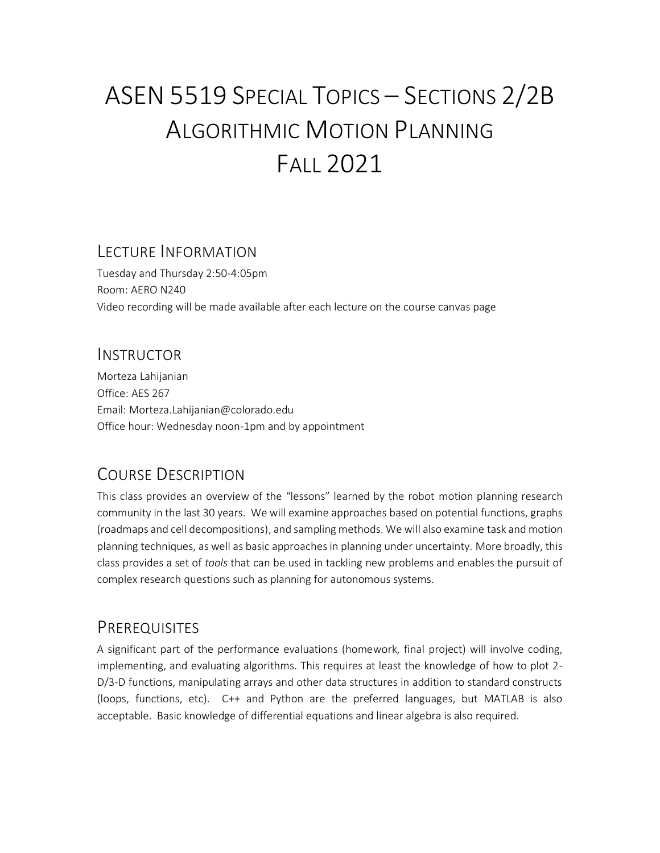# ASEN 5519 SPECIAL TOPICS – SECTIONS 2/2B ALGORITHMIC MOTION PLANNING FALL 2021

#### LECTURE INFORMATION

Tuesday and Thursday 2:50-4:05pm Room: AERO N240 Video recording will be made available after each lecture on the course canvas page

#### INSTRUCTOR

Morteza Lahijanian Office: AES 267 Email: Morteza.Lahijanian@colorado.edu Office hour: Wednesday noon-1pm and by appointment

## COURSE DESCRIPTION

This class provides an overview of the "lessons" learned by the robot motion planning research community in the last 30 years. We will examine approaches based on potential functions, graphs (roadmaps and cell decompositions), and sampling methods. We will also examine task and motion planning techniques, as well as basic approaches in planning under uncertainty. More broadly, this class provides a set of *tools* that can be used in tackling new problems and enables the pursuit of complex research questions such as planning for autonomous systems.

## PREREQUISITES

A significant part of the performance evaluations (homework, final project) will involve coding, implementing, and evaluating algorithms. This requires at least the knowledge of how to plot 2- D/3-D functions, manipulating arrays and other data structures in addition to standard constructs (loops, functions, etc). C++ and Python are the preferred languages, but MATLAB is also acceptable. Basic knowledge of differential equations and linear algebra is also required.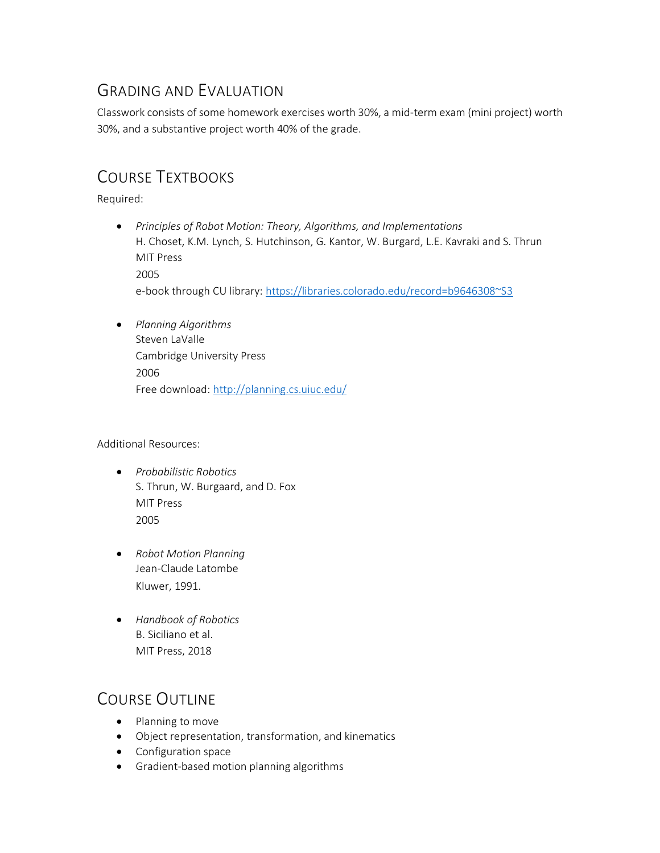## GRADING AND EVALUATION

Classwork consists of some homework exercises worth 30%, a mid-term exam (mini project) worth 30%, and a substantive project worth 40% of the grade.

## COURSE TEXTBOOKS

Required:

- *Principles of Robot Motion: Theory, Algorithms, and Implementations* H. Choset, K.M. Lynch, S. Hutchinson, G. Kantor, W. Burgard, L.E. Kavraki and S. Thrun MIT Press 2005 e-book through CU library:<https://libraries.colorado.edu/record=b9646308~S3>
- *Planning Algorithms* Steven LaValle Cambridge University Press 2006 Free download[: http://planning.cs.uiuc.edu/](http://planning.cs.uiuc.edu/)

Additional Resources:

- *Probabilistic Robotics* S. Thrun, W. Burgaard, and D. Fox MIT Press 2005
- *Robot Motion Planning* Jean-Claude Latombe Kluwer, 1991.
- *Handbook of Robotics* B. Siciliano et al. MIT Press, 2018

## COURSE OUTLINE

- Planning to move
- Object representation, transformation, and kinematics
- Configuration space
- Gradient-based motion planning algorithms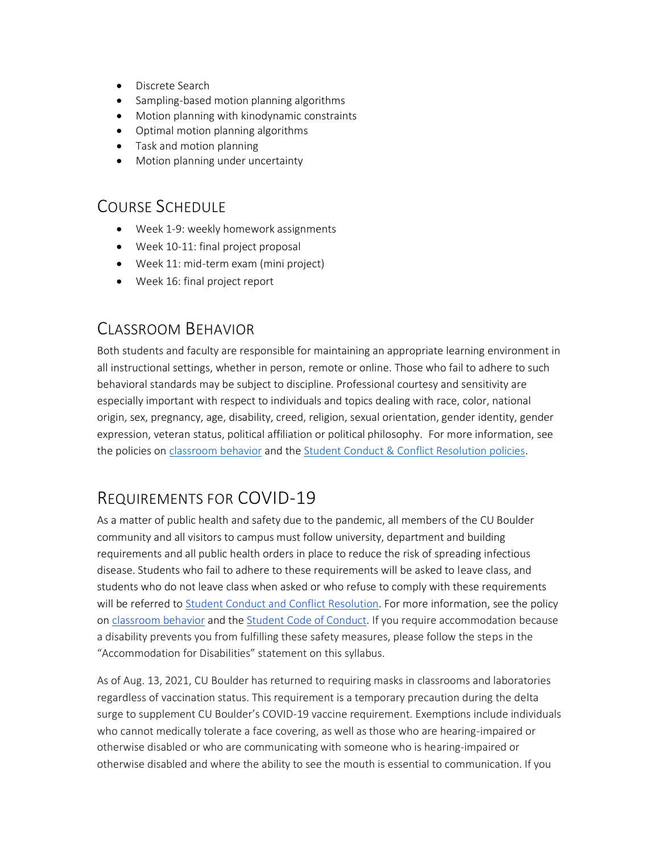- Discrete Search
- Sampling-based motion planning algorithms
- Motion planning with kinodynamic constraints
- Optimal motion planning algorithms
- Task and motion planning
- Motion planning under uncertainty

#### COURSE SCHEDULE

- Week 1-9: weekly homework assignments
- Week 10-11: final project proposal
- Week 11: mid-term exam (mini project)
- Week 16: final project report

## CLASSROOM BEHAVIOR

Both students and faculty are responsible for maintaining an appropriate learning environment in all instructional settings, whether in person, remote or online. Those who fail to adhere to such behavioral standards may be subject to discipline. Professional courtesy and sensitivity are especially important with respect to individuals and topics dealing with race, color, national origin, sex, pregnancy, age, disability, creed, religion, sexual orientation, gender identity, gender expression, veteran status, political affiliation or political philosophy. For more information, see the policies on [classroom behavior](http://www.colorado.edu/policies/student-classroom-and-course-related-behavior) and th[e Student Conduct & Conflict Resolution policies.](https://www.colorado.edu/sccr/student-conduct)

## REQUIREMENTS FOR COVID-19

As a matter of public health and safety due to the pandemic, all members of the CU Boulder community and all visitors to campus must follow university, department and building requirements and all public health orders in place to reduce the risk of spreading infectious disease. Students who fail to adhere to these requirements will be asked to leave class, and students who do not leave class when asked or who refuse to comply with these requirements will be referred t[o](https://www.colorado.edu/sccr/) [Student Conduct and Conflict Resolution.](https://www.colorado.edu/sccr/) For more information, see the policy o[n](https://www.colorado.edu/policies/covid-19-health-and-safety-policy) [classroom behavior](http://www.colorado.edu/policies/student-classroom-and-course-related-behavior) and th[e](http://www.colorado.edu/osccr/) [Student Code of Conduct.](http://www.colorado.edu/osccr/) If you require accommodation because a disability prevents you from fulfilling these safety measures, please follow the steps in the "Accommodation for Disabilities" statement on this syllabus.

As of Aug. 13, 2021, CU Boulder has returned to requiring masks in classrooms and laboratories regardless of vaccination status. This requirement is a temporary precaution during the delta surge to supplement CU Boulder's COVID-19 vaccine requirement. Exemptions include individuals who cannot medically tolerate a face covering, as well as those who are hearing-impaired or otherwise disabled or who are communicating with someone who is hearing-impaired or otherwise disabled and where the ability to see the mouth is essential to communication. If you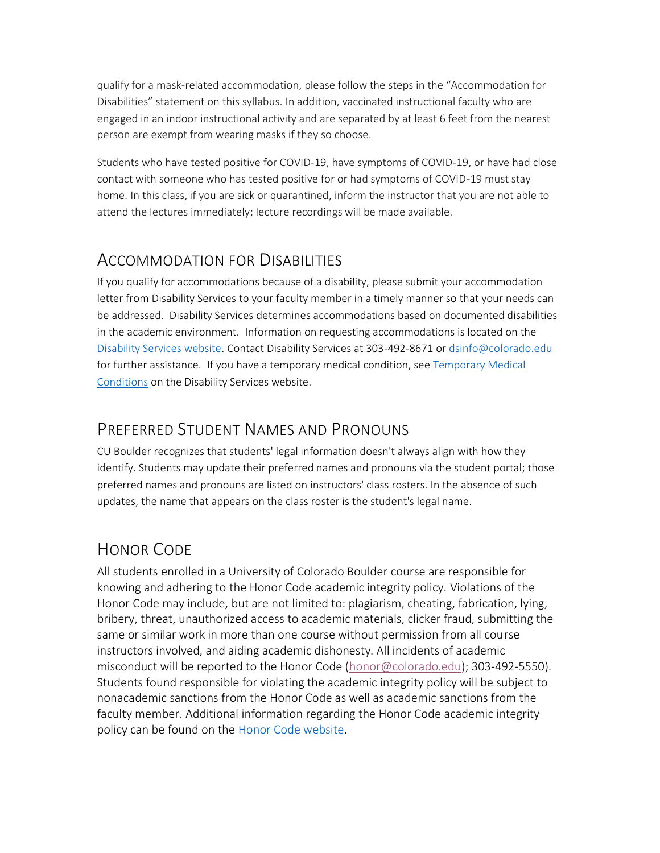qualify for a mask-related accommodation, please follow the steps in the "Accommodation for Disabilities" statement on this syllabus. In addition, vaccinated instructional faculty who are engaged in an indoor instructional activity and are separated by at least 6 feet from the nearest person are exempt from wearing masks if they so choose.

Students who have tested positive for COVID-19, have symptoms of COVID-19, or have had close contact with someone who has tested positive for or had symptoms of COVID-19 must stay home. In this class, if you are sick or quarantined, inform the instructor that you are not able to attend the lectures immediately; lecture recordings will be made available.

#### ACCOMMODATION FOR DISABILITIES

If you qualify for accommodations because of a disability, please submit your accommodation letter from Disability Services to your faculty member in a timely manner so that your needs can be addressed. Disability Services determines accommodations based on documented disabilities in the academic environment. Information on requesting accommodations is located on the [Disability Services website.](https://www.colorado.edu/disabilityservices/) Contact Disability Services at 303-492-8671 o[r dsinfo@colorado.edu](mailto:dsinfo@colorado.edu) for further assistance. If you have a temporary medical condition, see Temporary Medical [Conditions](http://www.colorado.edu/disabilityservices/students/temporary-medical-conditions) on the Disability Services website.

## PREFERRED STUDENT NAMES AND PRONOUNS

CU Boulder recognizes that students' legal information doesn't always align with how they identify. Students may update their preferred names and pronouns via the student portal; those preferred names and pronouns are listed on instructors' class rosters. In the absence of such updates, the name that appears on the class roster is the student's legal name.

## HONOR CODE

All students enrolled in a University of Colorado Boulder course are responsible for knowing and adhering to the Honor Code academic integrity policy. Violations of the Honor Code may include, but are not limited to: plagiarism, cheating, fabrication, lying, bribery, threat, unauthorized access to academic materials, clicker fraud, submitting the same or similar work in more than one course without permission from all course instructors involved, and aiding academic dishonesty. All incidents of academic misconduct will be reported to the Honor Code [\(honor@colorado.edu\)](mailto:honor@colorado.edu); 303-492-5550). Students found responsible for violating the academic integrity policy will be subject to nonacademic sanctions from the Honor Code as well as academic sanctions from the faculty member. Additional information regarding the Honor Code academic integrity policy can be found on the [Honor Code website.](https://www.colorado.edu/osccr/honor-code)